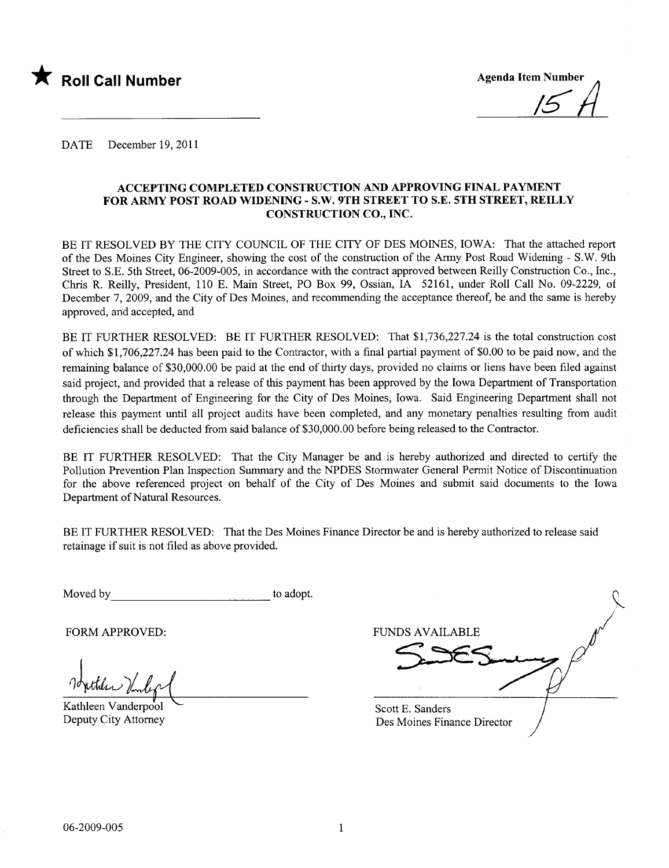

DATE December 19, 2011

#### ACCEPTING COMPLETED CONSTRUCTION AND APPROVING FINAL PAYMENT FOR ARMY POST ROAD WIDENING - S.W. 9TH STREET TO S.E. 5TH STREET, REILLY CONSTRUCTION CO., INC.

BE IT RESOLVED BY THE CITY COUNCIL OF THE CITY OF DES MOINES, IOWA: That the attached report of the Des Moines City Engineer, showing the cost of the construction of the Army Post Road Widening - S.W. 9th Street to S.E. 5th Street, 06-2009-005, in accordance with the contract approved between Reily Construction Co., Inc., Chrs R. Reily, President, 110 E. Main Street, PO Box 99, Ossian, IA 52161, under Roll Call No. 09-2229, of December 7, 2009, and the City of Des Moines, and recommending the acceptance thereof, be and the same is hereby approved, and accepted, and

BE IT FURTHER RESOLVED: BE IT FURTHER RESOLVED: That \$1,736,227.24 is the total construction cost of which \$1,706,227.24 has been paid to the Contractor, with a final partial payment of \$0.00 to be paid now, and the remaining balance of \$30,000.00 be paid at the end of thirty days, provided no claims or liens have been filed against said project, and provided that a release of this payment has been approved by the Iowa Deparment of Transportation through the Department of Engineering for the City of Des Moines, Iowa. Said Engineering Department shall not release this payment until all project audits have been completed, and any monetary penalties resulting from audit deficiencies shall be deducted from said balance of \$30,000.00 before being released to the Contractor.

BE IT FURTHER RESOLVED: That the City Manager be and is hereby authorized and directed to certify the Pollution Prevention Plan Inspection Summary and the NPDES Stormwater General Permit Notice of Discontinuation for the above referenced project on behalf of the City of Des Moines and submit said documents to the Iowa Department of Natural Resources.

BE IT FURTHER RESOLVED: That the Des Moines Finance Director be and is hereby authorized to release said retainage if suit is not fied as above provided.

Moved by to adopt.

1 bytteles Vinleg

Kathleen Vanderpool Deputy City Attorney

Scott E. Sanders Des Moines Finance Director  $\overline{\triangleright}$ FORM APPROVED: FUNDS AVAILABLE I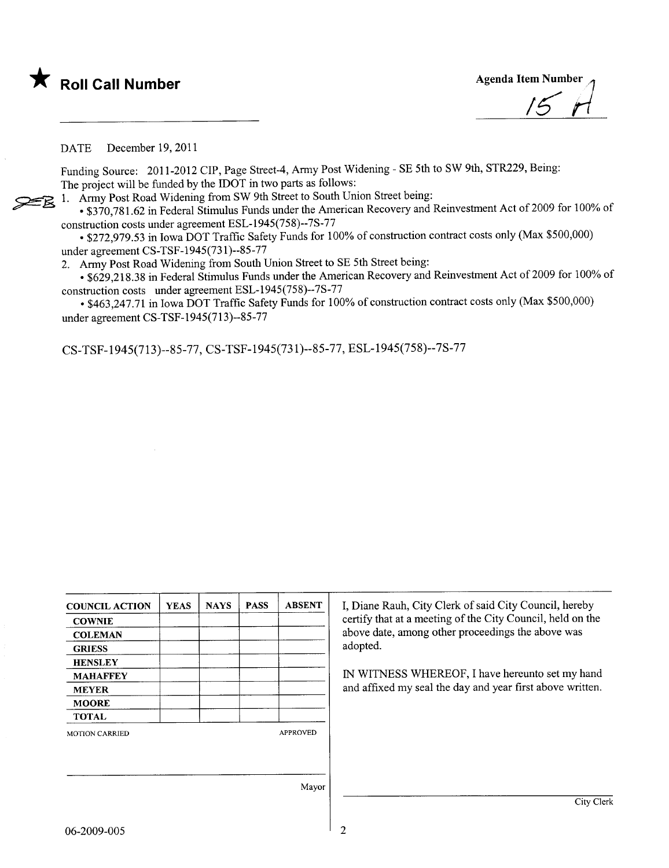

DATE December 19, 2011

Funding Source: 2011-2012 CIP, Page Street-4, Army Post Widening - SE 5th to SW 9th, STR229, Being: The project will be funded by the IDOT in two parts as follows:

1. Army Post Road Widening from SW 9th Street to South Union Street being:

. \$370,781.62 in Federal Stimulus Funds under the American Recovery and Reinvestment Act of 2009 for 100% of construction costs under agreement ESL-1945(758)--7S-77

. \$272,979.53 in Iowa DOT Traffc Safety Funds for 100% of construction contract costs only (Max \$500,000) under agreement CS-TSF-1945(731)--85-77

2. Army Post Road Widening from South Union Street to SE 5th Street being:

• \$629,218.38 in Federal Stimulus Funds under the American Recovery and Reinvestment Act of 2009 for 100% of construction costs under agreement ESL-1945(758)--7S-77

. \$463,247.71 in Iowa DOT Traffc Safety Funds for 100% of construction contract costs only (Max \$500,000) under agreement CS-TSF-1945(713)--85-77

CS-TSF-1945(713)--85-77, CS-TSF-1945(731)--85-77, ESL-1945(758)--7S-77

| <b>COUNCIL ACTION</b> | <b>YEAS</b> | <b>NAYS</b> | <b>PASS</b> | <b>ABSENT</b>   | I, Diane Rauh, City Clerk of said City Council, hereby     |
|-----------------------|-------------|-------------|-------------|-----------------|------------------------------------------------------------|
| <b>COWNIE</b>         |             |             |             |                 | certify that at a meeting of the City Council, held on the |
| <b>COLEMAN</b>        |             |             |             |                 | above date, among other proceedings the above was          |
| <b>GRIESS</b>         |             |             |             |                 | adopted.                                                   |
| <b>HENSLEY</b>        |             |             |             |                 |                                                            |
| <b>MAHAFFEY</b>       |             |             |             |                 | IN WITNESS WHEREOF, I have hereunto set my hand            |
| <b>MEYER</b>          |             |             |             |                 | and affixed my seal the day and year first above written.  |
| <b>MOORE</b>          |             |             |             |                 |                                                            |
| <b>TOTAL</b>          |             |             |             |                 |                                                            |
| <b>MOTION CARRIED</b> |             |             |             | <b>APPROVED</b> |                                                            |
|                       |             |             |             |                 |                                                            |
|                       |             |             |             |                 |                                                            |
|                       |             |             |             | Mayor           |                                                            |
|                       |             |             |             |                 | City Clerk                                                 |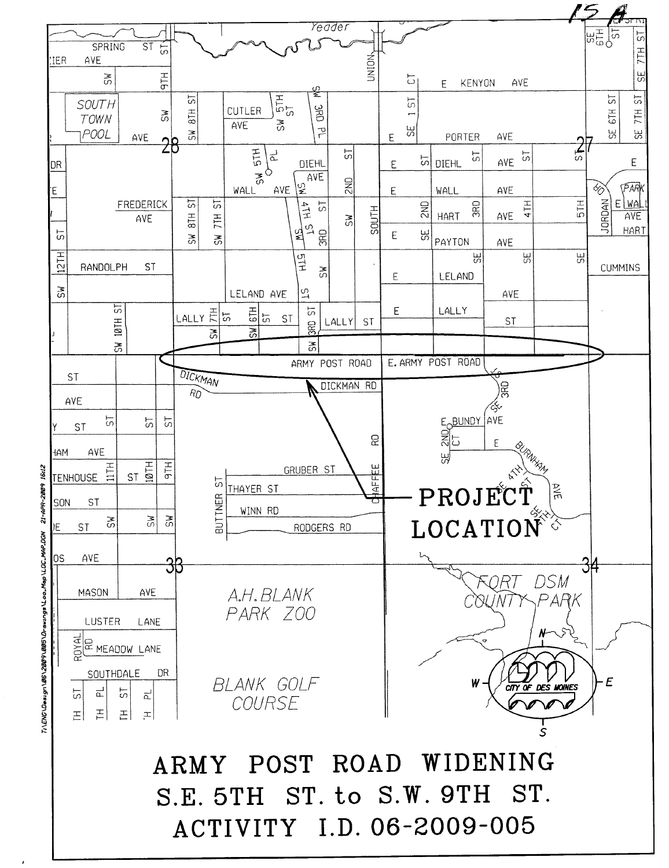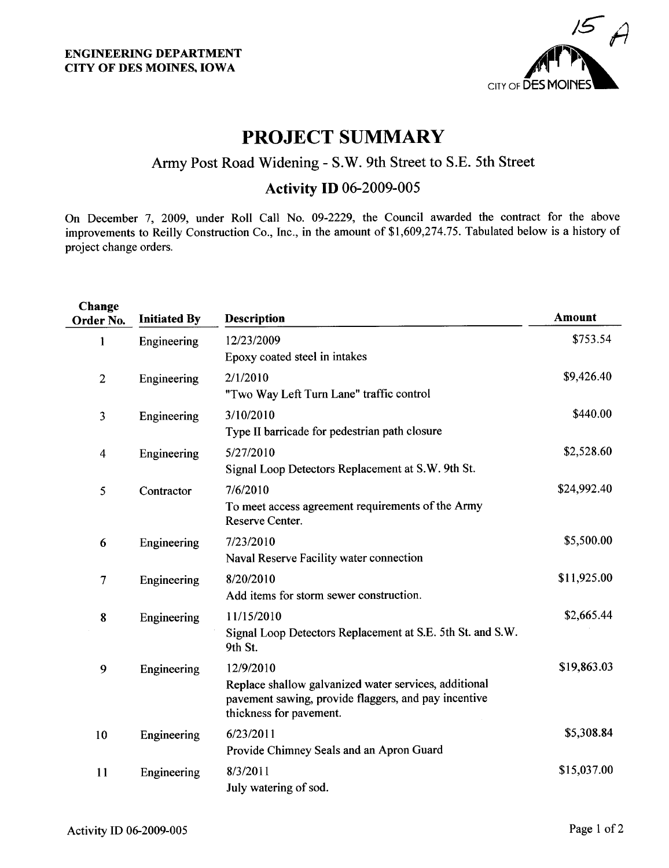

## PROJECT SUMMARY

### Army Post Road Widening - S.W. 9th Street to S.E. 5th Street

## **Activity ID 06-2009-005**

On December 7, 2009, under Roll Call No. 09-2229, the Council awarded the contract for the above improvements to Reily Construction Co., Inc., in the amount of \$1,609,274.75. Tabulated below is a history of project change orders.

| Change<br>Order No. | <b>Initiated By</b> | <b>Description</b>                                                                                                                                    | <b>Amount</b> |
|---------------------|---------------------|-------------------------------------------------------------------------------------------------------------------------------------------------------|---------------|
| 1                   | Engineering         | 12/23/2009<br>Epoxy coated steel in intakes                                                                                                           | \$753.54      |
| $\overline{2}$      | Engineering         | 2/1/2010<br>"Two Way Left Turn Lane" traffic control                                                                                                  | \$9,426.40    |
| 3                   | Engineering         | 3/10/2010<br>Type II barricade for pedestrian path closure                                                                                            | \$440.00      |
| $\overline{4}$      | Engineering         | 5/27/2010<br>Signal Loop Detectors Replacement at S.W. 9th St.                                                                                        | \$2,528.60    |
| 5                   | Contractor          | 7/6/2010<br>To meet access agreement requirements of the Army<br>Reserve Center.                                                                      | \$24,992.40   |
| 6                   | Engineering         | 7/23/2010<br>Naval Reserve Facility water connection                                                                                                  | \$5,500.00    |
| 7                   | Engineering         | 8/20/2010<br>Add items for storm sewer construction.                                                                                                  | \$11,925.00   |
| 8                   | Engineering         | 11/15/2010<br>Signal Loop Detectors Replacement at S.E. 5th St. and S.W.<br>9th St.                                                                   | \$2,665.44    |
| 9                   | Engineering         | 12/9/2010<br>Replace shallow galvanized water services, additional<br>pavement sawing, provide flaggers, and pay incentive<br>thickness for pavement. | \$19,863.03   |
| 10                  | Engineering         | 6/23/2011<br>Provide Chimney Seals and an Apron Guard                                                                                                 | \$5,308.84    |
| 11                  | Engineering         | 8/3/2011<br>July watering of sod.                                                                                                                     | \$15,037.00   |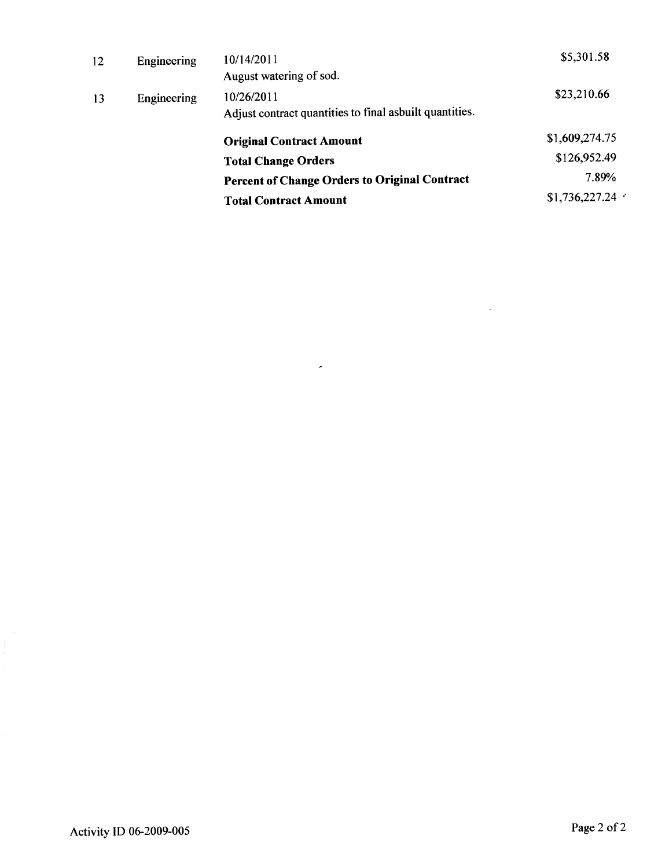| 12 | Engineering | 10/14/2011                                              | \$5,301.58              |
|----|-------------|---------------------------------------------------------|-------------------------|
|    |             | August watering of sod.                                 |                         |
| 13 | Engineering | 10/26/2011                                              | \$23,210.66             |
|    |             | Adjust contract quantities to final asbuilt quantities. |                         |
|    |             | <b>Original Contract Amount</b>                         | \$1,609,274.75          |
|    |             | <b>Total Change Orders</b>                              | \$126,952.49            |
|    |             | <b>Percent of Change Orders to Original Contract</b>    | 7.89%                   |
|    |             | <b>Total Contract Amount</b>                            | $$1,736,227.24$ $\cdot$ |
|    |             |                                                         |                         |

 $\epsilon$ 

 $\bar{z}$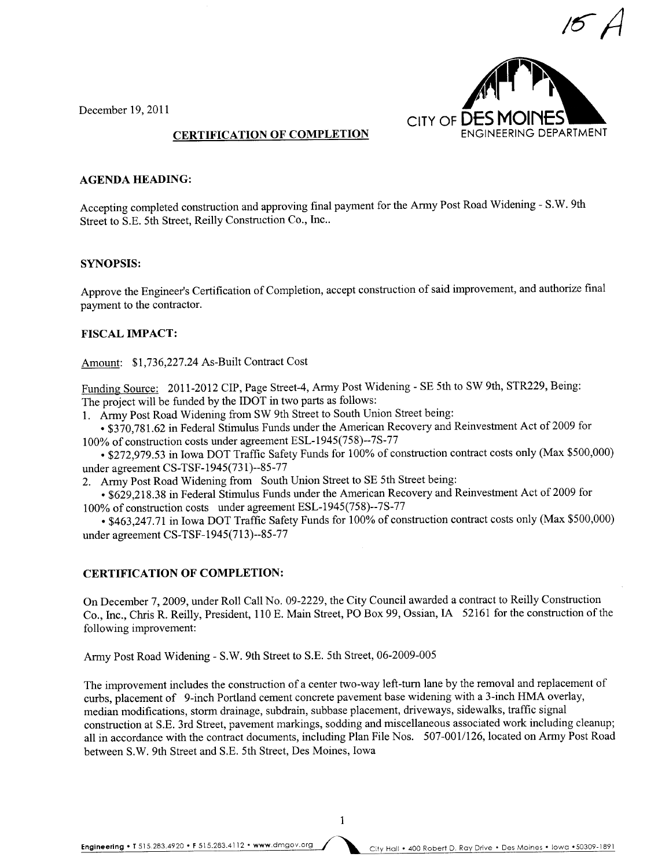

December 19,2011

#### CERTIFICATION OF COMPLETION

#### AGENDA HEADING:

Accepting completed construction and approving final payment for the Army Post Road Widening - S.W. 9th Street to S.E. 5th Street, Reily Construction Co., Inc..

#### SYNOPSIS:

Approve the Engineer's Certification of Completion, accept construction of said improvement, and authorize final payment to the contractor.

#### FISCAL IMPACT:

Amount: \$1,736,227.24 As-Built Contract Cost

Funding Source: 2011-2012 CIP, Page Street-4, Army Post Widening - SE 5th to SW 9th, STR229, Being: The project will be funded by the IDOT in two parts as follows:

1. Army Post Road Widening from SW 9th Street to South Union Street being:

. \$370,781.62 in Federal Stimulus Funds under the American Recovery and Reinvestment Act of2009 for 100% of construction costs under agreement ESL-1945(758)--7S-77

. \$272,979.53 in Iowa DOT Traffic Safety Funds for 100% of construction contract costs only (Max \$500,000) under agreement CS-TSF-1945(731)--85-77

2. Army Post Road Widening from South Union Street to SE 5th Street being:

. \$629,218.38 in Federal Stimulus Funds under the American Recovery and Reinvestment Act of 2009 for 100% of construction costs under agreement ESL-1945(758)--7S-77

. \$463,247.71 in Iowa DOT Traffc Safety Funds for 100% of construction contract costs only (Max \$500,000) under agreement CS-TSF-1945(713)--85-77

#### CERTIFICATION OF COMPLETION:

On December 7, 2009, under Roll Call No. 09-2229, the City Council awarded a contract to Reilly Construction Co., Inc., Chris R. Reily, President, 110 E. Main Street, PO Box 99, Ossian, IA 52161 for the construction of the following improvement:

Army Post Road Widening - S.W. 9th Street to S.E. 5th Street, 06-2009-005

The improvement includes the construction of a center two-way left-turn lane by the removal and replacement of curbs, placement of 9-inch Portland cement concrete pavement base widening with a 3-inch HMA overlay, median modifications, storm drainage, subdrain, subbase placement, driveways, sidewalks, traffc signal construction at S.E. 3rd Street, pavement markings, sodding and miscellaneous associated work including cleanup; all in accordance with the contract documents, including Plan File Nos. 507-001/126, located on Army Post Road between S.W. 9th Street and S.E. 5th Street, Des Moines, Iowa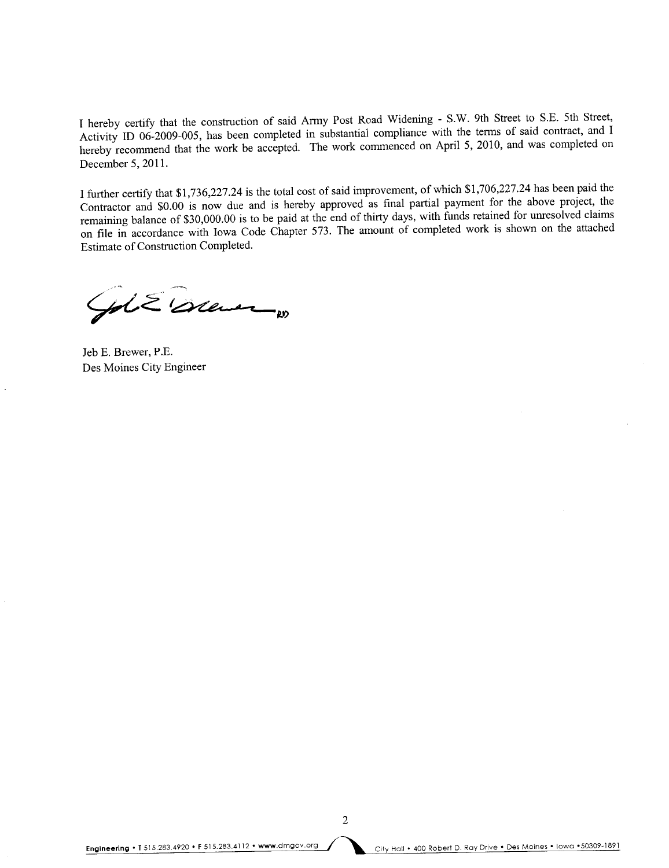I hereby certify that the construction of said Army Post Road Widening - S.W. 9th Street to S.E. 5th Street, Activity ID 06-2009-005, has been completed in substantial compliance with the terms of said contract, and I hereby recommend that the work be accepted. The work commenced on April 5, 2010, and was completed on December 5, 2011.

I further certify that \$1,736,227.24 is the total cost of said improvement, of which \$1,706,227.24 has been paid the Contractor and \$0.00 is now due and is hereby approved as final partial payment for the above project, the remaining balance of \$30,000.00 is to be paid at the end of thirty days, with funds retained for unresolved claims on file in accordance with Iowa Code Chapter 573. The amount of completed work is shown on the attached Estimate of Construction Completed.

Gol & Orener

Jeb E. Brewer, P.E. Des Moines City Engineer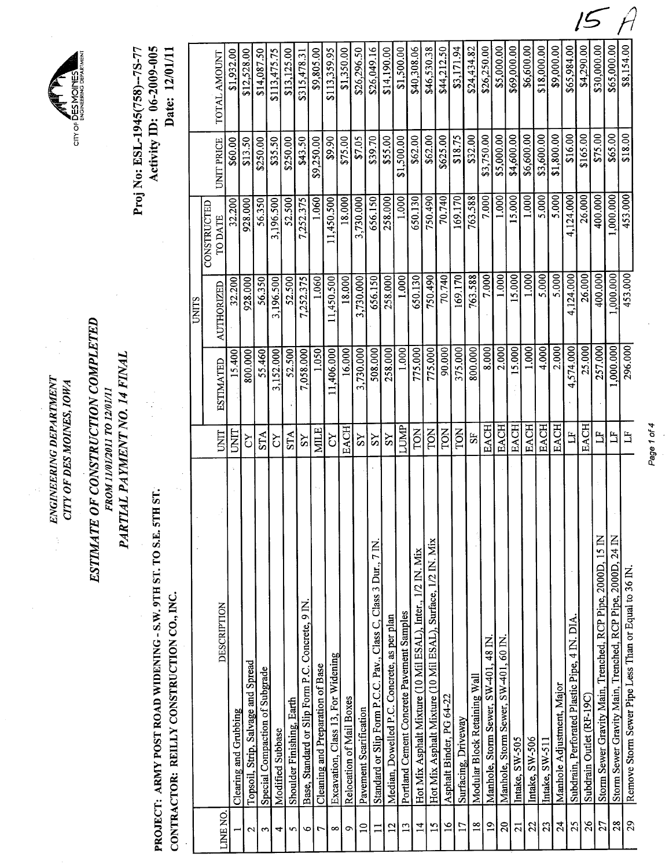CITY OF DES MOINES, IOWA later the convergence of  $\ell^*$ ENGINEERING DEPARTMENT ENGINEERING DEPARTMENT CITY OF DES MOINES, IOWA



# PARTIAL PAYMENT NO. 14 FINAL PARTIAL PAYMENT NO. 14 FINAL FROM 11/01/2011 TO 12/01/11

PROJECT: ARMY POST ROAD WIDENING - S.W. 9TH ST. TO S.E. 5TH ST. PROJECT: ARMY POST ROAD WIDENING - S.W. 9TH ST. TO S.E. 5TH ST.

CONTRACTOR: REILLY CONSTRUCTION CO., INC. CONTRACTOR: REILLY CONSTRUCTION CO., INC.

Activity ID: 06-2009-005 Proj No: ESL-1945(758)--75-77 Date: 12/01/11 Proj No: ESL-1945(758)--7S-77 Activity ID: 06-2009-005 Date: 12/01/11

|                 |                                                                 |                |                  | UNITS      |                                      |                   |              |
|-----------------|-----------------------------------------------------------------|----------------|------------------|------------|--------------------------------------|-------------------|--------------|
| LINE NO.        | DESCRIPTION                                                     | UNIT           | <b>ESTIMATED</b> | AUTHORIZED | <b>CONSTRUCTED</b><br><b>TO DATE</b> | <b>UNIT PRICE</b> | TOTAL AMOUNT |
|                 | Clearing and Grubbing                                           | UNIT           | 15.400           | 32.200     | 32.200                               | \$60.00           | \$1,932.00   |
| $\mathbf{C}$    | Topsoil, Strip, Salvage and Spread                              | č              | 800.000          | 928.000    | 928.000                              | \$13.50           | \$12,528.00  |
| 2               | Special Compaction of Subgrade                                  | <b>STA</b>     | 55.460           | 56.350     | 56.350                               | \$250.00          | \$14,087.50  |
| 4               | Modified Subbase                                                | čY             | 3,152.000        | 3,196.500  | 3,196.500                            | \$35.50           | \$113,475.75 |
| w               | Shoulder Finishing, Earth                                       | STA            | 52.500           | 52.500     | 52.500                               | \$250.00          | \$13,125.00  |
| $\bullet$       | Base, Standard or Slip Form P.C. Concrete, 9 IN                 | $_{\rm SS}$    | 7,058.000        | 7,252.375  | 7,252.375                            | \$43.50           | \$315,478.31 |
| 7               | Cleaning and Preparation of Base                                | <b>MILE</b>    | 1.050            | 1.060      | 1.060                                | \$9,250.00        | \$9,805.00   |
| $\infty$        | Excavation, Class 13, For Widening                              | čY             | 11,406.000       | 1,450.500  | 11,450.500                           | \$9.90            | \$113,359.95 |
| ç               | Relocation of Mail Boxes                                        | <b>EACH</b>    | 16.000           | 18.000     | 18.000                               | \$75.00           | \$1,350.00   |
| $\Xi$           | Pavement Scarification                                          | $\overline{S}$ | 3,730.000        | 3,730.000  | 3,730.000                            | \$7.05            | \$26,296.50  |
| $\Box$          | Standard or Slip Form P.C.C. Pav., Class C, Class 3 Dur., 7 IN. | SS             | 508.000          | 656.150    | 656.150                              | \$39.70           | \$26,049.16  |
| 12              | Median, Dowelled P.C. Concrete, as per plan                     | $\overline{S}$ | 258.000          | 258.000    | 258.000                              | \$55.00           | \$14,190.00  |
| $\mathbf{L}$    | Portland Cement Concrete Pavement Samples                       | <b>LUMP</b>    | 1.000            | 1.000      | 1.000                                | \$1,500.00        | \$1,500.00   |
| $\overline{1}$  | Hot Mix Asphalt Mixture (10 Mil ESAL), Inter., 1/2 IN. Mix      | FON            | 775.000          | 650.130    | 650.130                              | \$62.00           | \$40,308.06  |
| 15              | Hot Mix Asphalt Mixture (10 Mil ESAL), Surface, 1/2 IN. Mix     | FON            | 775.000          | 750.490    | 750.490                              | \$62.00           | \$46,530.38  |
| $\overline{a}$  | Asphalt Binder, PG 64-22                                        | <b>TON</b>     | 90,000           | 70.740     | 70.740                               | \$625.00          | \$44,212.50  |
| $\overline{17}$ | Surfacing, Driveway                                             | TON            | 375.000          | 169.170    | 169.170                              | \$18.75           | \$3,171.94   |
| $\frac{8}{18}$  | Modular Block Retaining Wall                                    | 55             | 800.000          | 763.588    | 763.588                              | \$32.00           | \$24,434.82  |
| $\overline{9}$  | Manhole, Storm Sewer, SW-401, 48 IN                             | <b>EACH</b>    | 8.000            | 7.000      | 7.000                                | \$3,750.00        | \$26,250.00  |
| $\Omega$        | Manhole, Storm Sewer, SW-401, 60 IN.                            | <b>EACH</b>    | 2.000            | 1.000      | 1.000                                | \$5,000.00        | \$5,000.00   |
| $\overline{c}$  | Intake, SW-505                                                  | <b>EACH</b>    | 15.000           | 15.000     | 15.000                               | \$4,600.00        | \$69,000.00  |
| 22              | Intake, SW-506                                                  | <b>EACH</b>    | 1.000            | 1.000      | 1.000                                | \$6,600.00        | \$6,600.00   |
| 2 <sup>3</sup>  | Intake, SW-511                                                  | <b>EACH</b>    | 4.000            | 5.000      | 5.000                                | \$3,600.00        | \$18,000.00  |
| $\overline{24}$ | Manhole Adjustment, Major                                       | <b>EACH</b>    | 2.000            | 5.000      | 5.000                                | \$1,800.00        | \$9,000.00   |
| 25              | Subdrain, Perforated Plastic Pipe, 4 IN. DIA.                   | $\mathbf{H}$   | 4,574.000        | 4,124.000  | 4,124.000                            | \$16.00           | \$65,984.00  |
| $\frac{5}{26}$  | Subdrain Outlet (RF-19C)                                        | <b>EACH</b>    | 25.000           | 26.000     | 26.000                               | \$165.00          | \$4,290.00   |
| 27              | Storm Sewer Gravity Main, Trenched, RCP Pipe, 2000D, 15 IN      | E              | 257.000          | 400.000    | 400.000                              | \$75.00           | \$30,000.00  |
| 28              | Storm Sewer Gravity Main, Trenched, RCP Pipe, 2000D, 24 IN      | $\mathbb{E}$   | 000.000          | 1,000.000  | 1,000.000                            | \$65.00           | \$65,000.00  |
| 29              | Remove Storm Sewer Pipe Less Than or Equal to 36 IN             | $E_{\rm I}$    | 296.000          | 453.000    | 453.000                              | \$18.00           | \$8,154.00   |

Page 1 of 4 Page 1 of 4



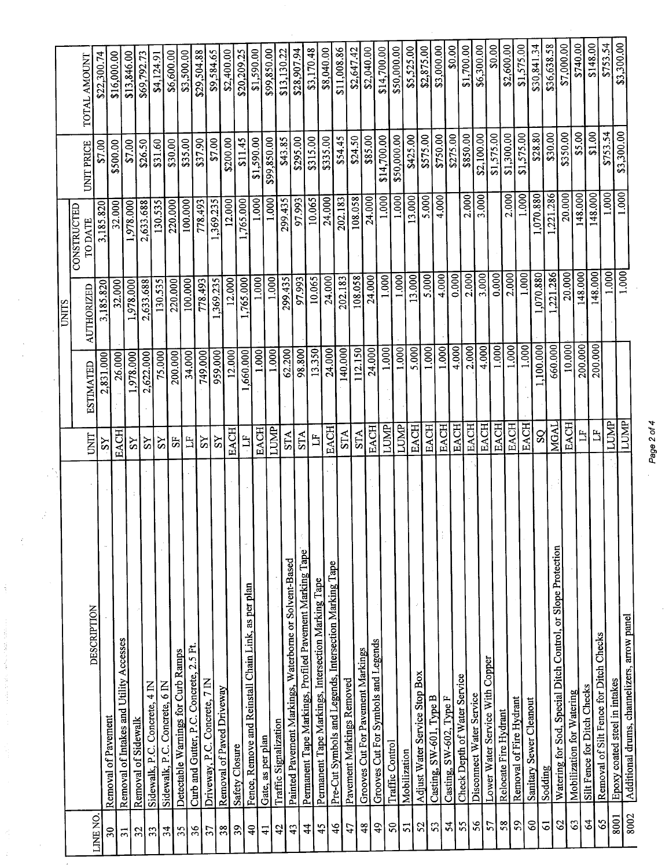|                            |                                                              |                         |                  | <b>UNITS</b>      |                        |             |              |
|----------------------------|--------------------------------------------------------------|-------------------------|------------------|-------------------|------------------------|-------------|--------------|
|                            |                                                              | UNIT                    | <b>ESTIMATED</b> | <b>AUTHORIZED</b> | CONSTRUCTED<br>TO DATE | UNIT PRICE  | TOTAL AMOUNT |
| LINE NO.                   | DESCRIPTION                                                  | $\overline{S}$          | 2,831.000        | 3,185.820         | 3,185.820              | \$7.00      | \$22,300.74  |
| $\overline{30}$            | Removal of Pavement                                          | EACH                    | 26,000           | 32.000            | 32.000                 | \$500.00    | \$16,000.00  |
| $\overline{31}$            | Removal of Intakes and Utility Accesses                      | ΣŠ                      | 1,978.000        | 1,978.000         | 1,978.000              | \$7.00      | \$13,846.00  |
| 32                         | Removal of Sidewalk                                          | SY                      | 2,622.000        | 2,633.688         | 2,633.688              | \$26.50     | \$69,792.73  |
| 33                         | $rac{1}{4}$<br>Sidewalk, P.C. Concrete,                      | SS                      | 75.000           | 130.535           | 130.535                | \$31.60     | \$4,124.91   |
| 34                         | $\overline{6}$ M<br>Sidewalk, P.C. Concrete,                 | 55                      | 200.000          | 220.000           | 220.000                | \$30.00     | \$6,600.00   |
| 35                         | Detectable Warnings for Curb Ramps                           |                         | 34,000           | 100.000           | 100.000                | \$35.00     | \$3,500.00   |
| 36                         | Curb and Gutter, P.C. Concrete, 2.5 Ft.                      | $\Xi$                   | 749.000          | 778.493           | 778.493                | \$37.90     | \$29,504.88  |
| 57                         | Driveway, P.C. Concrete, 7 IN                                | SS                      |                  | ,369.235          | ,369.235               | \$7.00      | \$9,584.65   |
| 38                         | Removal of Paved Driveway                                    | S <sub>X</sub>          | 959.000          |                   | 12.000                 | \$200.00    | \$2,400.00   |
| 39                         | Safety Closure                                               | <b>EACH</b>             | 12.000           | 12.000            | ,765.000               | \$11.45     | \$20,209.25  |
| $\overline{4}$             | Fence, Remove and Reinstall Chain Link, as per plan          | $\Xi$                   | ,660.000         | ,765.000<br>1.000 | 1.000                  | \$1,590.00  | \$1,590.00   |
| $\overline{4}$             | Gate, as per plan                                            | <b>EACH</b>             | 1.000            |                   | 1.000                  | \$99,850.00 | \$99,850.00  |
| 42                         | Traffic Signalization                                        | LUMP                    | 1.000            | 1.000             |                        |             |              |
| 43                         | Painted Pavement Markings, Waterborne or Solvent-Based       | <b>STA</b>              | 62.200           | 299.435           | 299.435                | \$43.85     | \$13,130.22  |
| $\overline{4}$             | Permanent Tape Markings, Profiled Pavement Marking Tape      | <b>STA</b>              | 98.800           | 97.993            | 97.993                 | \$295.00    | \$28,907.94  |
| 45                         | Permanent Tape Markings, Intersection Marking Tape           | H                       | 13.350           | 10.065            | 10.065                 | \$315.00    | \$3,170.48   |
|                            | Pre-Cut Symbols and Legends, Intersection Marking Tape       | <b>EACH</b>             | 24.000           | 24.000            | 24,000                 | \$335.00    | \$8,040.00   |
| 46                         |                                                              | <b>STA</b>              | 140.000          | 202.183           | 202.183                | \$54.45     | \$11,008.86  |
| 47                         | Pavement Markings Removed                                    | <b>STA</b>              | 112.150          | 108.058           | 108.058                | \$24.50     | \$2,647.42   |
| 48                         | Grooves Cut For Pavement Markings                            | <b>EACH</b>             | 24.000           | 24.000            | 24.000                 | \$85.00     | \$2,040.00   |
| $\ddot{ }$                 | Grooves Cut For Symbols and Legends                          | LUMP                    | 1.000            | 1.000             | 1.000                  | \$14,700.00 | \$14,700.00  |
| $50\,$                     | Traffic Control                                              | <b>LUMP</b>             | 1.000            | 1.000             | 1.000                  | \$50,000.00 | \$50,000.00  |
| 51                         | Mobilization                                                 | <b>EACH</b>             | 5.000            | 13.000            | $\frac{1}{2}$ .000     | \$425.00    | \$5,525.00   |
| 52                         | Adjust Water Service Stop Box                                | EACH                    | 1.000            | 5.000             | 5.000                  | \$575.00    | \$2,875.00   |
| 53                         | Casting, SW-601, Type B                                      | <b>EACH</b>             | 1,000            | 4.000             | 4.000                  | \$750.00    | \$3,000.00   |
| $\overline{5}$             | Casting, SW-602, Type F                                      | EACH                    | 4.000            | 0.000             |                        | \$275.00    | \$0.00       |
| 55                         | Check Depth of Water Service                                 | <b>EACH</b>             | 2.000            | 2.000             | 2.000                  | \$850.00    | \$1,700.00   |
| 56                         | Disconnect Water Service                                     | <b>EACH</b>             | 4.000            | 3.000             | $\overline{3.000}$     | \$2,100.00  | \$6,300.00   |
| 57                         | Lower Water Service With Copper                              | <b>EACH</b>             | 1.000            | 0.0001            |                        | \$1,575.00  | \$0.00       |
| $\frac{58}{5}$             | Relocate Fire Hydrant                                        | <b>EACH</b>             | 1.000            | 2.000             | 2.000                  | \$1,300.00  | \$2,600.00   |
| 59                         | Removal of Fire Hydrant                                      | <b>EACH</b>             | 1.000            | 1.000             | 1.000                  | \$1,575.00  | \$1,575.00   |
| $\boldsymbol{\mathcal{S}}$ | Sanitary Sewer Cleanout                                      |                         | 1,100.000        | 1,070.880         | ,070.880               | \$28.80     | \$30,841.34  |
| 61                         | Sodding                                                      | $\overline{S}Q$         | 660.000          | ,221.286          | ,221.286               | \$30.00     | \$36,638.58  |
| $\mathcal{S}$              | Watering for Sod, Special Ditch Control, or Slope Protection | MGAL                    | 10.000           | 20,000            | 20,000                 | \$350.00    | \$7,000.00   |
| $\mathcal{S}$              | Mobilization for Watering                                    | <b>EACH</b>             |                  | 148.000           | 148.000                | \$5.00      | \$740.00     |
| $\mathcal{L}$              | Silt Fence for Ditch Checks                                  | $\mathbf{L}$            | 200.000          |                   | 148.000                | \$1.00      | \$148.00     |
| S9                         | Removal of Silt Fence for Ditch Checks                       | $\overline{\mathbf{L}}$ | 200.000          | 148.000           | 1.000                  | \$753.54    | \$753.54     |
| 8001                       | Epoxy coated steel in intakes                                | LUMP                    |                  | 1.000             | .000                   | \$3,300.00  | \$3,300.00   |
| 8002                       | Additional drums, channelizers, arrow panel                  | LUMP                    |                  | 1.000             |                        |             |              |

Page 2 of 4 Page 2 of 4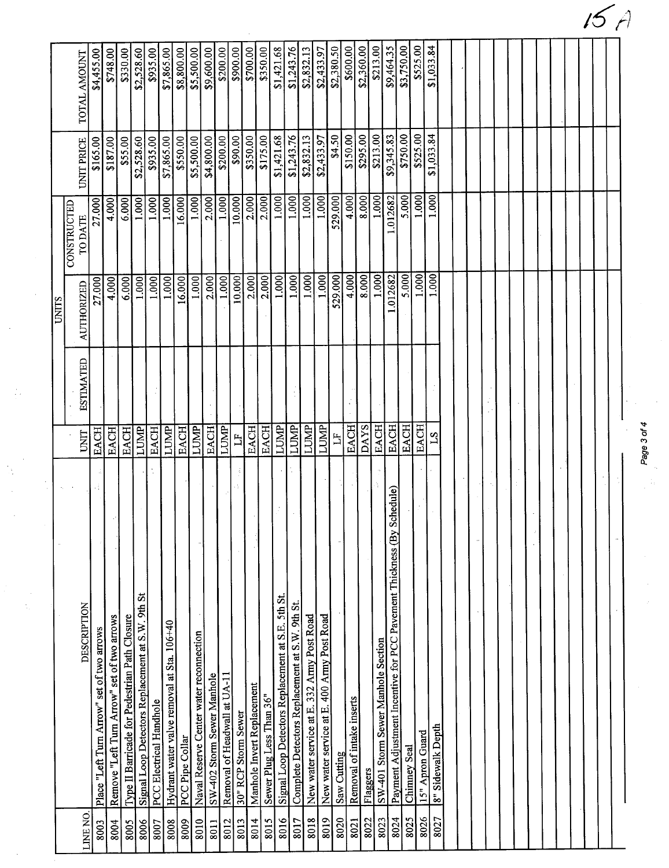|                                                  |                                                                                                                                                                                                                                                                                                                                                 |                                                           | <b>UNITS</b>                       | <b>CONSTRUCTED</b> |                                       |                                                                                                                                                                                                     |
|--------------------------------------------------|-------------------------------------------------------------------------------------------------------------------------------------------------------------------------------------------------------------------------------------------------------------------------------------------------------------------------------------------------|-----------------------------------------------------------|------------------------------------|--------------------|---------------------------------------|-----------------------------------------------------------------------------------------------------------------------------------------------------------------------------------------------------|
|                                                  |                                                                                                                                                                                                                                                                                                                                                 |                                                           |                                    |                    |                                       |                                                                                                                                                                                                     |
| <b>DESCRIPTION</b>                               | $\frac{1}{2}$                                                                                                                                                                                                                                                                                                                                   | <b>ESTIMATED</b>                                          | <b>AUTHORIZED</b>                  | TO DATE            | <b>UNIT PRICE</b>                     | TOTAL AMOUNT                                                                                                                                                                                        |
| Place "Left Turn Arrow" set of two arrows        | <b>EACH</b>                                                                                                                                                                                                                                                                                                                                     |                                                           | 27,000                             | 27.000             | \$165.00                              | \$4,455.00                                                                                                                                                                                          |
| Remove "Left Turn Arrow" set of two arrows       | <b>EACH</b>                                                                                                                                                                                                                                                                                                                                     |                                                           | 4.000                              | 4.000              | \$187.00                              | \$748.00                                                                                                                                                                                            |
| Type II Barricade for Pedestrian Path Closure    | <b>EACH</b>                                                                                                                                                                                                                                                                                                                                     |                                                           | 6.000                              | 6.000              | \$55.00                               | \$330.00                                                                                                                                                                                            |
| Signal Loop Detectors Replacement at S.W. 9th St | LUMP                                                                                                                                                                                                                                                                                                                                            |                                                           | 1.000                              | 1.000              | \$2,528.60                            | \$2,528.60                                                                                                                                                                                          |
| <b>PCC Electrical Handhole</b>                   | EACH                                                                                                                                                                                                                                                                                                                                            |                                                           | 1.000                              | 1.000              | \$935.00                              | \$935.00                                                                                                                                                                                            |
| Hydrant water valve removal at Sta. 106+40       | LUMP                                                                                                                                                                                                                                                                                                                                            |                                                           | 1.000                              | 1.000              | \$7,865.00                            | \$7,865.00                                                                                                                                                                                          |
|                                                  | EACH                                                                                                                                                                                                                                                                                                                                            |                                                           | 16.000                             | 16.000             | \$550.00                              | \$8,800.00                                                                                                                                                                                          |
| Naval Reserve Center water reconnection          | LUMP                                                                                                                                                                                                                                                                                                                                            |                                                           | 1.000                              | 1.000              | \$5,500.00                            | \$5,500.00                                                                                                                                                                                          |
| SW-402 Storm Sewer Manhole                       | <b>EACH</b>                                                                                                                                                                                                                                                                                                                                     |                                                           | 2.000                              | 2.000              | \$4,800.00                            | \$9,600.00                                                                                                                                                                                          |
| Removal of Headwall at UA-11                     | LUMP                                                                                                                                                                                                                                                                                                                                            |                                                           | 1.000                              | 1.000              | \$200.00                              | \$200.00                                                                                                                                                                                            |
|                                                  | H                                                                                                                                                                                                                                                                                                                                               |                                                           | 10.000                             | 10.000             | \$90.00                               | \$900.00                                                                                                                                                                                            |
|                                                  | EACH                                                                                                                                                                                                                                                                                                                                            |                                                           | 2.000                              | 2.000              | \$350.00                              | \$700.00                                                                                                                                                                                            |
| Sewer Plug Less Than 36"                         | <b>EACH</b>                                                                                                                                                                                                                                                                                                                                     |                                                           | 2.000                              |                    | \$175.00                              | \$350.00                                                                                                                                                                                            |
|                                                  |                                                                                                                                                                                                                                                                                                                                                 |                                                           | 1.000                              |                    | \$1,421.68                            | \$1,421.68                                                                                                                                                                                          |
|                                                  | LUMP                                                                                                                                                                                                                                                                                                                                            |                                                           | 1.000                              |                    |                                       | \$1,243.76                                                                                                                                                                                          |
|                                                  | LUMP                                                                                                                                                                                                                                                                                                                                            |                                                           | 1.000                              |                    |                                       | \$2,832.13                                                                                                                                                                                          |
|                                                  |                                                                                                                                                                                                                                                                                                                                                 |                                                           | 1.000                              |                    |                                       | \$2,433.97                                                                                                                                                                                          |
|                                                  | $\mathbf{H}$                                                                                                                                                                                                                                                                                                                                    |                                                           | 529.000                            |                    | \$4.50                                | \$2,380.50                                                                                                                                                                                          |
| Removal of intake inserts                        |                                                                                                                                                                                                                                                                                                                                                 |                                                           |                                    |                    | \$150.00                              | \$600.00                                                                                                                                                                                            |
|                                                  | <b>DAYS</b>                                                                                                                                                                                                                                                                                                                                     |                                                           | 8.000                              |                    | \$295.00                              | \$2,360.00                                                                                                                                                                                          |
|                                                  |                                                                                                                                                                                                                                                                                                                                                 |                                                           | 1.000                              |                    | \$213.00                              | \$213.00                                                                                                                                                                                            |
|                                                  |                                                                                                                                                                                                                                                                                                                                                 |                                                           |                                    |                    |                                       | \$9,464.35                                                                                                                                                                                          |
|                                                  |                                                                                                                                                                                                                                                                                                                                                 |                                                           | 5.000                              |                    | \$750.00                              | \$3,750.00                                                                                                                                                                                          |
|                                                  |                                                                                                                                                                                                                                                                                                                                                 |                                                           |                                    |                    | \$525.00                              | \$525.00                                                                                                                                                                                            |
|                                                  | 21                                                                                                                                                                                                                                                                                                                                              |                                                           |                                    |                    | \$1,033.84                            | \$1,033.84                                                                                                                                                                                          |
|                                                  |                                                                                                                                                                                                                                                                                                                                                 |                                                           |                                    |                    |                                       |                                                                                                                                                                                                     |
|                                                  |                                                                                                                                                                                                                                                                                                                                                 |                                                           |                                    |                    |                                       |                                                                                                                                                                                                     |
|                                                  |                                                                                                                                                                                                                                                                                                                                                 |                                                           |                                    |                    |                                       |                                                                                                                                                                                                     |
|                                                  |                                                                                                                                                                                                                                                                                                                                                 |                                                           |                                    |                    |                                       |                                                                                                                                                                                                     |
|                                                  |                                                                                                                                                                                                                                                                                                                                                 |                                                           |                                    |                    |                                       |                                                                                                                                                                                                     |
|                                                  |                                                                                                                                                                                                                                                                                                                                                 |                                                           |                                    |                    |                                       |                                                                                                                                                                                                     |
|                                                  |                                                                                                                                                                                                                                                                                                                                                 |                                                           |                                    |                    |                                       |                                                                                                                                                                                                     |
|                                                  |                                                                                                                                                                                                                                                                                                                                                 |                                                           |                                    |                    |                                       |                                                                                                                                                                                                     |
|                                                  |                                                                                                                                                                                                                                                                                                                                                 |                                                           |                                    |                    |                                       |                                                                                                                                                                                                     |
|                                                  |                                                                                                                                                                                                                                                                                                                                                 |                                                           |                                    |                    |                                       |                                                                                                                                                                                                     |
|                                                  |                                                                                                                                                                                                                                                                                                                                                 |                                                           |                                    |                    |                                       |                                                                                                                                                                                                     |
|                                                  |                                                                                                                                                                                                                                                                                                                                                 |                                                           |                                    |                    |                                       |                                                                                                                                                                                                     |
|                                                  |                                                                                                                                                                                                                                                                                                                                                 |                                                           |                                    |                    |                                       |                                                                                                                                                                                                     |
|                                                  |                                                                                                                                                                                                                                                                                                                                                 |                                                           |                                    |                    |                                       |                                                                                                                                                                                                     |
|                                                  |                                                                                                                                                                                                                                                                                                                                                 |                                                           |                                    |                    |                                       |                                                                                                                                                                                                     |
|                                                  | Schedule)<br>Payment Adjustment Incentive for PCC Pavement Thickness (By<br>Signal Loop Detectors Replacement at S.E. 5th St.<br>Complete Detectors Replacement at S.W. 9th St.<br>New water service at E. 400 Army Post Road<br>New water service at E. 332 Army Post Road<br>SW-401 Storm Sewer Manhole Section<br>Manhole Invert Replacement | EACH<br><b>EACH</b><br><b>EACH</b><br><b>LUMP</b><br>LUMP | Page 3 of 4<br><b>EACH</b><br>EACH |                    | 1.000<br>1.000<br>4.000<br>$-0.12682$ | \$9,345.83<br>$\sqrt{$1,243.76}$<br>\$2,832.13<br>\$2,433.97<br>1.000<br>1.000<br>4.000<br>1.000<br>5.000<br>529.000<br>8.000<br>1.012682<br>$\overline{1.000}$<br>1.000<br>1.000<br>2.000<br>1.000 |

 $5A$